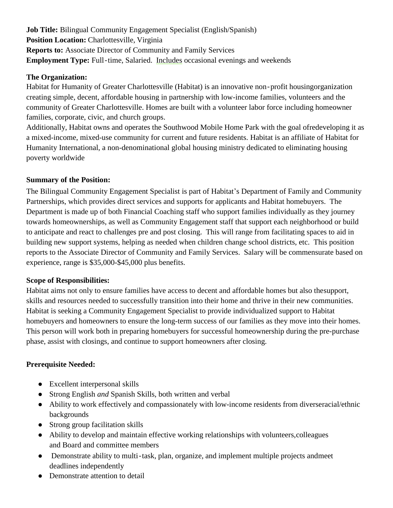**Job Title:** Bilingual Community Engagement Specialist (English/Spanish) **Position Location:** Charlottesville, Virginia **Reports to:** Associate Director of Community and Family Services **Employment Type:** Full-time, Salaried. Includes occasional evenings and weekends

### **The Organization:**

Habitat for Humanity of Greater Charlottesville (Habitat) is an innovative non‐profit housingorganization creating simple, decent, affordable housing in partnership with low-income families, volunteers and the community of Greater Charlottesville. Homes are built with a volunteer labor force including homeowner families, corporate, civic, and church groups.

Additionally, Habitat owns and operates the Southwood Mobile Home Park with the goal ofredeveloping it as a mixed-income, mixed-use community for current and future residents. Habitat is an affiliate of Habitat for Humanity International, a non-denominational global housing ministry dedicated to eliminating housing poverty worldwide

# **Summary of the Position:**

The Bilingual Community Engagement Specialist is part of Habitat's Department of Family and Community Partnerships, which provides direct services and supports for applicants and Habitat homebuyers. The Department is made up of both Financial Coaching staff who support families individually as they journey towards homeownerships, as well as Community Engagement staff that support each neighborhood or build to anticipate and react to challenges pre and post closing. This will range from facilitating spaces to aid in building new support systems, helping as needed when children change school districts, etc. This position reports to the Associate Director of Community and Family Services. Salary will be commensurate based on experience, range is \$35,000-\$45,000 plus benefits.

# **Scope of Responsibilities:**

Habitat aims not only to ensure families have access to decent and affordable homes but also thesupport, skills and resources needed to successfully transition into their home and thrive in their new communities. Habitat is seeking a Community Engagement Specialist to provide individualized support to Habitat homebuyers and homeowners to ensure the long-term success of our families as they move into their homes. This person will work both in preparing homebuyers for successful homeownership during the pre-purchase phase, assist with closings, and continue to support homeowners after closing.

# **Prerequisite Needed:**

- Excellent interpersonal skills
- Strong English *and* Spanish Skills, both written and verbal
- Ability to work effectively and compassionately with low-income residents from diverseracial/ethnic backgrounds
- Strong group facilitation skills
- Ability to develop and maintain effective working relationships with volunteers,colleagues and Board and committee members
- Demonstrate ability to multi-task, plan, organize, and implement multiple projects andmeet deadlines independently
- Demonstrate attention to detail